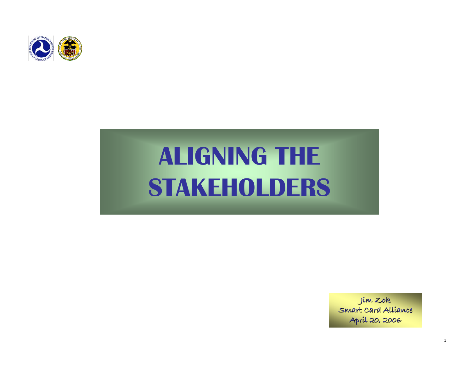

# **ALIGNING THE STAKEHOLDERS**

Jim Zok Smart Card Alliance April 20, 2006

1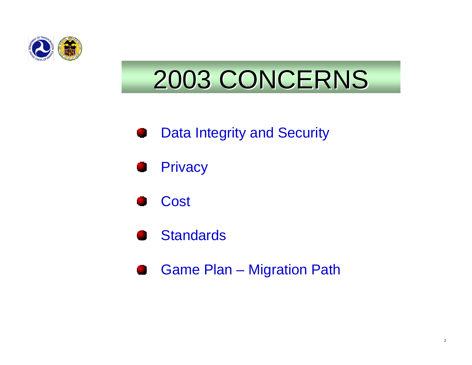

# 2003 CONCERNS 2003 CONCERNS

#### Data Integrity and Security





#### Standards

Game Plan – Migration Path43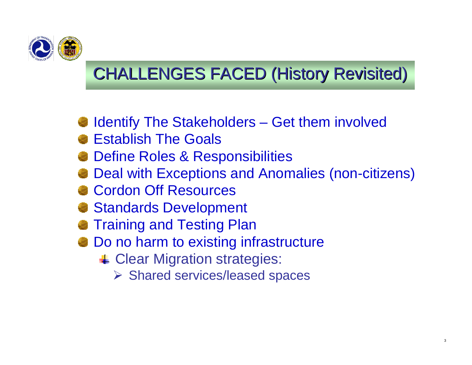

### **CHALLENGES FACED (History Revisited)**

- Identify The Stakeholders Get them involved
- Establish The Goals
- Define Roles & Responsibilities
- Deal with Exceptions and Anomalies (non-citizens)
- Cordon Off Resources
- Standards Development
- Training and Testing Plan
- Do no harm to existing infrastructure
	- **↓ Clear Migration strategies:** 
		- ¾ Shared services/leased spaces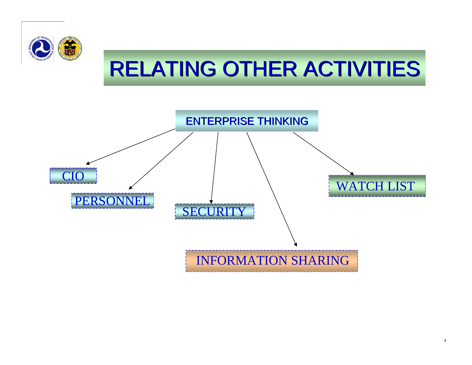

## RELATING OTHER ACTIVITIES

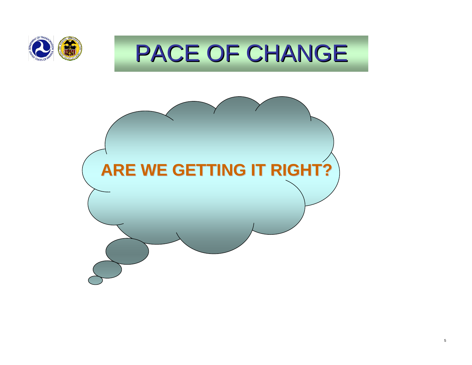

## PACE OF CHANGE

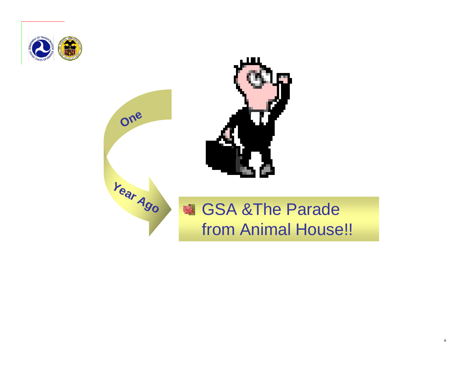





**One**

# from Animal House!!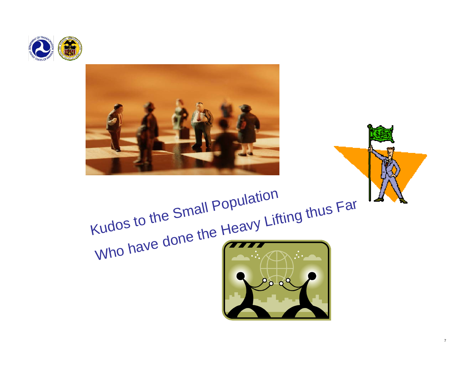



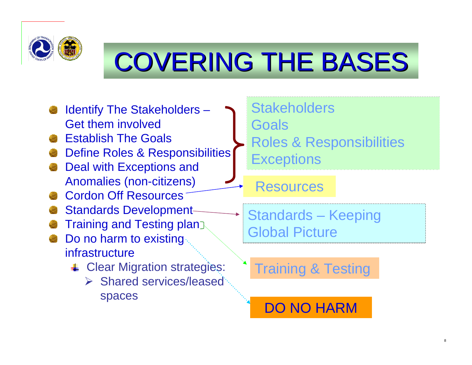

# COVERING THE BASES

- Identify The Stakeholders Get them involved
- Establish The Goals
- Define Roles & Responsibilities
- Deal with Exceptions and Anomalies (non-citizens)
- Cordon Off Resources
- Standards Development
- Training and Testing plan
- Do no harm to existing infrastructure
	- **↓ Clear Migration strategies:** 
		- $\triangleright$  Shared services/leased spaces
- **Stakeholders**
- **Goals**
- Roles & Responsibilities **Exceptions**

#### **Resources**

Standards – Keeping Global Picture

Training & Testing

DO NO HARM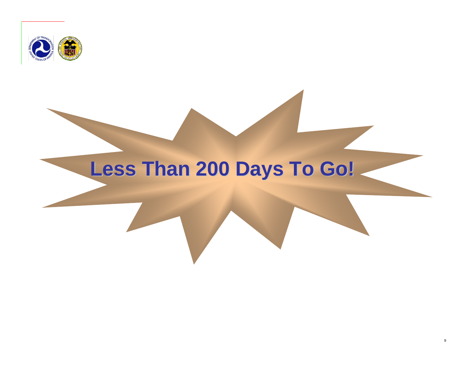

## **Less Than 200 Days To Go!**